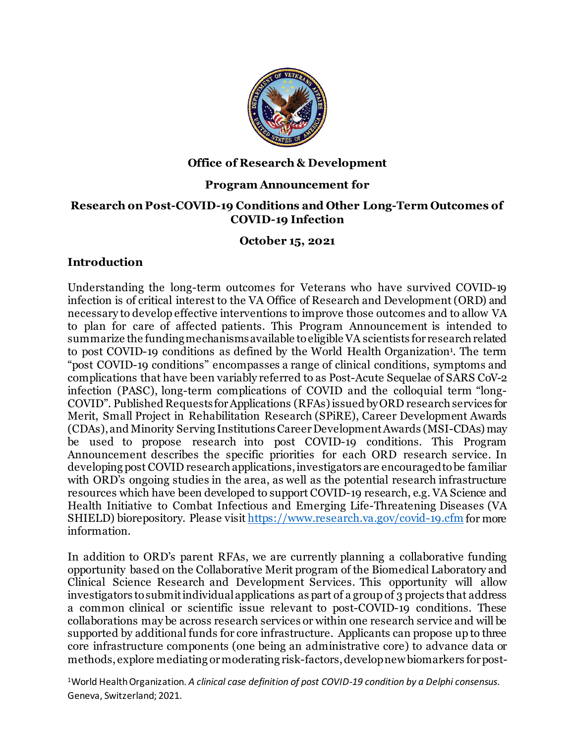

#### **Office of Research & Development**

### **Program Announcement for**

#### **Research on Post-COVID-19 Conditions and Other Long-Term Outcomes of COVID-19 Infection**

### **October 15, 2021**

### **Introduction**

Understanding the long-term outcomes for Veterans who have survived COVID-19 infection is of critical interest to the VA Office of Research and Development (ORD) and necessary to develop effective interventions to improve those outcomes and to allow VA to plan for care of affected patients. This Program Announcement is intended to summarize the funding mechanisms available to eligible VA scientists for research related to post COVID-19 conditions as defined by the World Health Organization<sup>1</sup>. The term "post COVID-19 conditions" encompasses a range of clinical conditions, symptoms and complications that have been variably referred to as Post-Acute Sequelae of SARS CoV-2 infection (PASC), long-term complications of COVID and the colloquial term "long-COVID". Published Requests for Applications (RFAs) issued by ORD research services for Merit, Small Project in Rehabilitation Research (SPiRE), Career Development Awards (CDAs), and Minority Serving Institutions Career Development Awards (MSI-CDAs) may be used to propose research into post COVID-19 conditions. This Program Announcement describes the specific priorities for each ORD research service. In developing post COVID research applications, investigators are encouraged to be familiar with ORD's ongoing studies in the area, as well as the potential research infrastructure resources which have been developed to support COVID-19 research, e.g. VA Science and Health Initiative to Combat Infectious and Emerging Life-Threatening Diseases (VA SHIELD) biorepository. Please visi[t https://www.research.va.gov/covid-19.cfm](https://www.research.va.gov/covid-19.cfm) for more information.

In addition to ORD's parent RFAs, we are currently planning a collaborative funding opportunity based on the Collaborative Merit program of the Biomedical Laboratory and Clinical Science Research and Development Services. This opportunity will allow investigators to submitindividual applications as part of a group of 3 projects that address a common clinical or scientific issue relevant to post-COVID-19 conditions. These collaborations may be across research services or within one research service and will be supported by additional funds for core infrastructure. Applicants can propose up to three core infrastructure components (one being an administrative core) to advance data or methods, explore mediating or moderating risk-factors, develop new biomarkers for post-

1World Health Organization. *A clinical case definition of post COVID-19 condition by a Delphi consensus*. Geneva, Switzerland; 2021.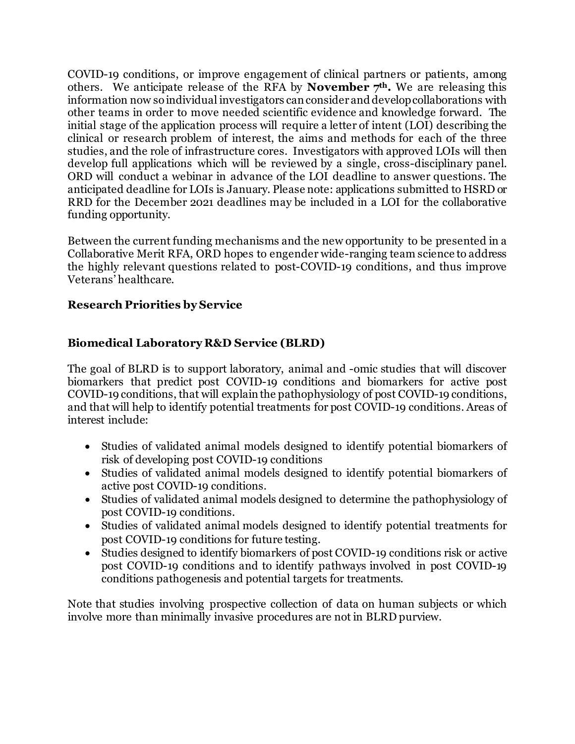COVID-19 conditions, or improve engagement of clinical partners or patients, among others. We anticipate release of the RFA by **November 7th.** We are releasing this information now so individual investigators can consider and develop collaborations with other teams in order to move needed scientific evidence and knowledge forward. The initial stage of the application process will require a letter of intent (LOI) describing the clinical or research problem of interest, the aims and methods for each of the three studies, and the role of infrastructure cores. Investigators with approved LOIs will then develop full applications which will be reviewed by a single, cross-disciplinary panel. ORD will conduct a webinar in advance of the LOI deadline to answer questions. The anticipated deadline for LOIs is January. Please note: applications submitted to HSRD or RRD for the December 2021 deadlines may be included in a LOI for the collaborative funding opportunity.

Between the current funding mechanisms and the new opportunity to be presented in a Collaborative Merit RFA, ORD hopes to engender wide-ranging team science to address the highly relevant questions related to post-COVID-19 conditions, and thus improve Veterans' healthcare.

## **Research Priorities by Service**

## **Biomedical Laboratory R&D Service (BLRD)**

The goal of BLRD is to support laboratory, animal and -omic studies that will discover biomarkers that predict post COVID-19 conditions and biomarkers for active post COVID-19 conditions, that will explain the pathophysiology of post COVID-19 conditions, and that will help to identify potential treatments for post COVID-19 conditions. Areas of interest include:

- Studies of validated animal models designed to identify potential biomarkers of risk of developing post COVID-19 conditions
- Studies of validated animal models designed to identify potential biomarkers of active post COVID-19 conditions.
- Studies of validated animal models designed to determine the pathophysiology of post COVID-19 conditions.
- Studies of validated animal models designed to identify potential treatments for post COVID-19 conditions for future testing.
- Studies designed to identify biomarkers of post COVID-19 conditions risk or active post COVID-19 conditions and to identify pathways involved in post COVID-19 conditions pathogenesis and potential targets for treatments.

Note that studies involving prospective collection of data on human subjects or which involve more than minimally invasive procedures are not in BLRD purview.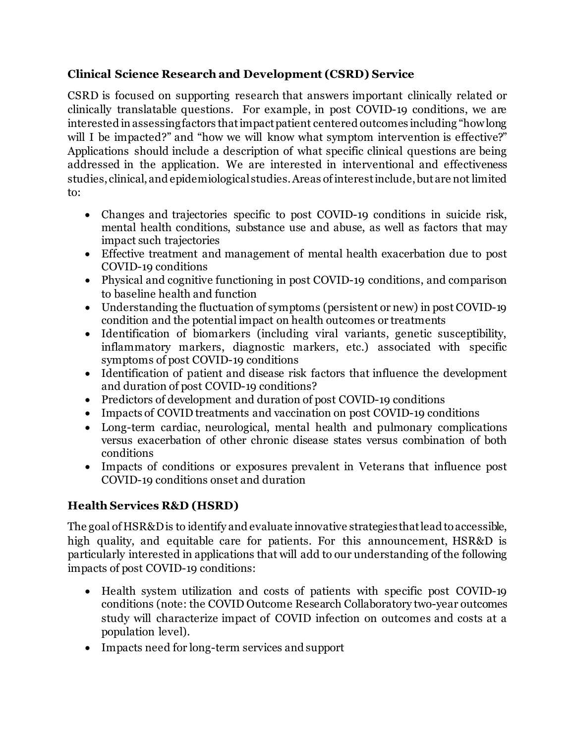## **Clinical Science Research and Development (CSRD) Service**

CSRD is focused on supporting research that answers important clinically related or clinically translatable questions. For example, in post COVID-19 conditions, we are interested in assessing factors that impact patient centered outcomes including "how long will I be impacted?" and "how we will know what symptom intervention is effective?" Applications should include a description of what specific clinical questions are being addressed in the application. We are interested in interventional and effectiveness studies, clinical, and epidemiological studies. Areas of interest include,but are not limited to:

- Changes and trajectories specific to post COVID-19 conditions in suicide risk, mental health conditions, substance use and abuse, as well as factors that may impact such trajectories
- Effective treatment and management of mental health exacerbation due to post COVID-19 conditions
- Physical and cognitive functioning in post COVID-19 conditions, and comparison to baseline health and function
- Understanding the fluctuation of symptoms (persistent or new) in post COVID-19 condition and the potential impact on health outcomes or treatments
- Identification of biomarkers (including viral variants, genetic susceptibility, inflammatory markers, diagnostic markers, etc.) associated with specific symptoms of post COVID-19 conditions
- Identification of patient and disease risk factors that influence the development and duration of post COVID-19 conditions?
- Predictors of development and duration of post COVID-19 conditions
- Impacts of COVID treatments and vaccination on post COVID-19 conditions
- Long-term cardiac, neurological, mental health and pulmonary complications versus exacerbation of other chronic disease states versus combination of both conditions
- Impacts of conditions or exposures prevalent in Veterans that influence post COVID-19 conditions onset and duration

# **Health Services R&D (HSRD)**

The goal of HSR&D is to identify and evaluate innovative strategies that lead to accessible, high quality, and equitable care for patients. For this announcement, HSR&D is particularly interested in applications that will add to our understanding of the following impacts of post COVID-19 conditions:

- Health system utilization and costs of patients with specific post COVID-19 conditions (note: the COVID Outcome Research Collaboratory two-year outcomes study will characterize impact of COVID infection on outcomes and costs at a population level).
- Impacts need for long-term services and support